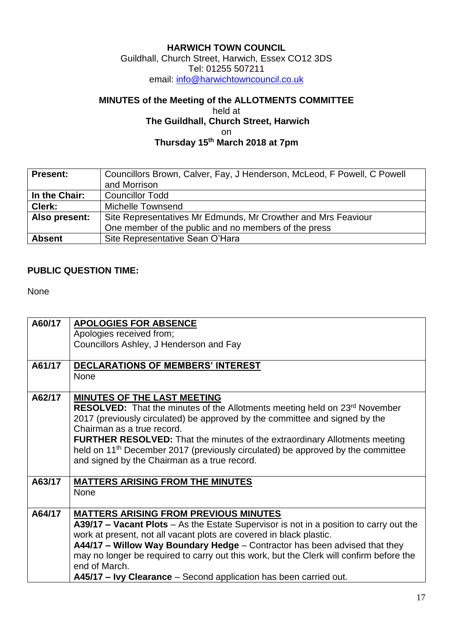## **HARWICH TOWN COUNCIL**

Guildhall, Church Street, Harwich, Essex CO12 3DS Tel: 01255 507211 email: [info@harwichtowncouncil.co.uk](mailto:info@harwichtowncouncil.co.uk)

## **MINUTES of the Meeting of the ALLOTMENTS COMMITTEE**

## held at **The Guildhall, Church Street, Harwich** on **Thursday 15th March 2018 at 7pm**

| <b>Present:</b> | Councillors Brown, Calver, Fay, J Henderson, McLeod, F Powell, C Powell |
|-----------------|-------------------------------------------------------------------------|
|                 | and Morrison                                                            |
| In the Chair:   | <b>Councillor Todd</b>                                                  |
| Clerk:          | Michelle Townsend                                                       |
| Also present:   | Site Representatives Mr Edmunds, Mr Crowther and Mrs Feaviour           |
|                 | One member of the public and no members of the press                    |
| <b>Absent</b>   | Site Representative Sean O'Hara                                         |

## **PUBLIC QUESTION TIME:**

None

| A60/17 | <b>APOLOGIES FOR ABSENCE</b>                                                                |
|--------|---------------------------------------------------------------------------------------------|
|        | Apologies received from;                                                                    |
|        | Councillors Ashley, J Henderson and Fay                                                     |
|        |                                                                                             |
| A61/17 | <b>DECLARATIONS OF MEMBERS' INTEREST</b>                                                    |
|        | <b>None</b>                                                                                 |
|        |                                                                                             |
| A62/17 | <b>MINUTES OF THE LAST MEETING</b>                                                          |
|        | RESOLVED: That the minutes of the Allotments meeting held on 23 <sup>rd</sup> November      |
|        | 2017 (previously circulated) be approved by the committee and signed by the                 |
|        | Chairman as a true record.                                                                  |
|        | <b>FURTHER RESOLVED:</b> That the minutes of the extraordinary Allotments meeting           |
|        | held on 11 <sup>th</sup> December 2017 (previously circulated) be approved by the committee |
|        | and signed by the Chairman as a true record.                                                |
|        |                                                                                             |
| A63/17 | <b>MATTERS ARISING FROM THE MINUTES</b>                                                     |
|        | <b>None</b>                                                                                 |
|        |                                                                                             |
| A64/17 | <b>MATTERS ARISING FROM PREVIOUS MINUTES</b>                                                |
|        | A39/17 - Vacant Plots - As the Estate Supervisor is not in a position to carry out the      |
|        | work at present, not all vacant plots are covered in black plastic.                         |
|        | A44/17 - Willow Way Boundary Hedge - Contractor has been advised that they                  |
|        | may no longer be required to carry out this work, but the Clerk will confirm before the     |
|        | end of March.                                                                               |
|        | A45/17 - Ivy Clearance - Second application has been carried out.                           |